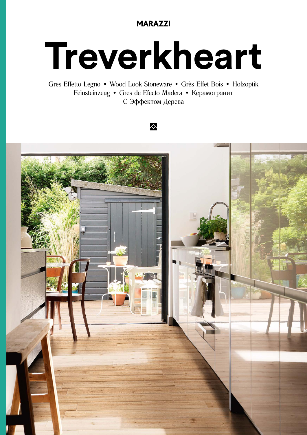## **MARAZZI**

# Treverkheart

Gres Effetto Legno · Wood Look Stoneware · Grès Effet Bois · Holzoptik Feinsteinzeug • Gres de Efecto Madera • Керамогранит С Эффектом Дерева

### 众

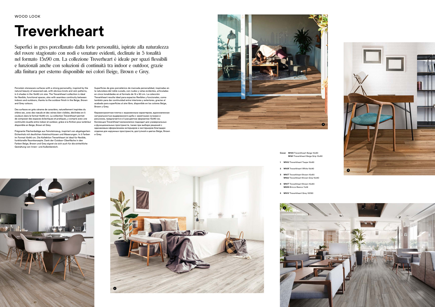- **Cover M15S** Treverkheart Beige 15x90 **M161** Treverkheart Beige Grip 15x90
- **1 M15U** Treverkheart Taupe 15x90
- **2 M15R** Treverkheart White 15x90
- **3 M15T** Treverkheart Brown 15x90 **M162** Treverkheart Brown Grip 15x90
- **4 M15T** Treverkheart Brown 15x90 **M035** Bricco Bianco 7x28
- **5 M15V** Treverkheart Grey 15X90



# **Treverkheart**

Superfici in gres porcellanato dalla forte personalità, ispirate alla naturalezza del rovere stagionato con nodi e venature evidenti, declinate in 5 tonalità nel formato 15x90 cm. La collezione Treverheart è ideale per spazi flessibili e funzionali anche con soluzioni di continuità tra indoor e outdoor, grazie alla finitura per esterno disponibile nei colori Beige, Brown e Grey.

Porcelain stoneware surfaces with a strong personality, inspired by the natural beauty of seasoned oak, with obvious knots and vein patterns, in 5 shades in the 15x90 cm size. The Treverkheart collection is ideal for flexible, functional spaces, also with seamless continuity between indoors and outdoors, thanks to the outdoor finish in the Beige, Brown and Grey colours.

Des surfaces en grès cérame de caractère, naturellement inspirées du chêne sec, avec des nœuds et des veines bien visibles, déclinées en 5 couleurs dans le format 15x90 cm. La collection Treverkheart permet de composer des espaces éclectiques et pratiques, y compris avec une continuité visuelle entre indoor et outdoor, grâce à la finition pour extérieur disponible en Beige, Brown et Grey.

Prägnante Flächenbeläge aus Feinsteinzeug, inspiriert von abgelagertem Eichenholz mit deutlichen Asteinschlüssen und Maserungen. In 5 Farben и Grey. im Format 15x90 cm. Die Kollektion Treverkheart ist ideal für flexible, funktionelle Raumkonzepte. Dank der Outdoor-Oberfläche in den Farben Beige, Brown und Grey eignet sie sich auch für die einheitliche Gestaltung von Innen- und Außenbereich.

Superficies de gres porcelánico de marcada personalidad, inspiradas en la naturaleza del roble curado, con nudos y vetas evidentes, articuladas en cinco tonalidades en el formato de 15 x 90 cm. La colección Treverkheart resulta ideal para espacios flexibles y funcionales, como también para dar continuidad entre interiores y exteriores, gracias al acabado para superficies al aire libre, disponible en los colores Beige, Brown y Grey.

Керамогранитная плитка с выраженным характером, вдохновленная натуральностью выдержанного дуба с заметными сучками и рисунком, предлагается в 5 расцветках форматом 15x90 см. Коллекция Treverkheart великолепно подходит для универсальных и функциональных пространств, также при выборе решений с одинаковым оформлением интерьеров и экстерьеров благодаря отделке для наружных пространств, доступной в цветах Beige, Brown